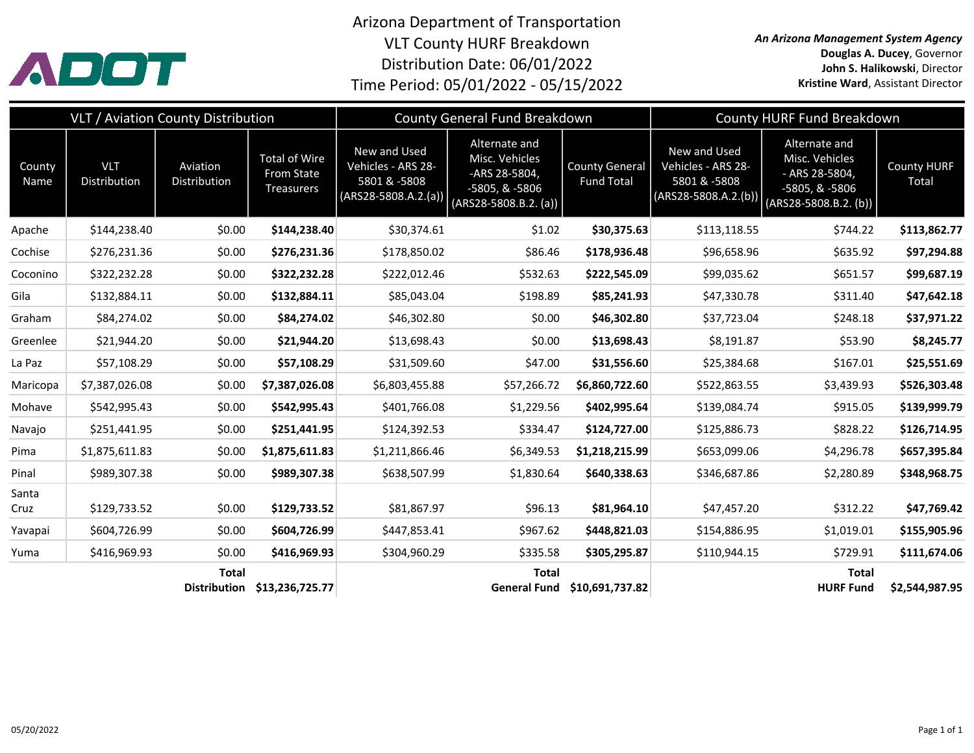

Arizona Department of Transportation VLT County HURF Breakdown Distribution Date: 06/01/2022 Time Period: 05/01/2022 - 05/15/2022

*An Arizona Management System Agency* **Douglas A. Ducey**, Governor **John S. Halikowski**, Director **Kristine Ward**, Assistant Director

|                | VLT / Aviation County Distribution |                                     |                                                         | County General Fund Breakdown                                                |                                                                                               |                                            | County HURF Fund Breakdown                                                   |                                                                                                |                             |
|----------------|------------------------------------|-------------------------------------|---------------------------------------------------------|------------------------------------------------------------------------------|-----------------------------------------------------------------------------------------------|--------------------------------------------|------------------------------------------------------------------------------|------------------------------------------------------------------------------------------------|-----------------------------|
| County<br>Name | <b>VLT</b><br>Distribution         | Aviation<br>Distribution            | <b>Total of Wire</b><br>From State<br><b>Treasurers</b> | New and Used<br>Vehicles - ARS 28-<br>5801 & -5808<br>$(ARS28-5808.A.2.(a))$ | Alternate and<br>Misc. Vehicles<br>-ARS 28-5804,<br>-5805, & -5806<br>$(ARS28-5808.B.2. (a))$ | <b>County General</b><br><b>Fund Total</b> | New and Used<br>Vehicles - ARS 28-<br>5801 & -5808<br>$(ARS28-5808.A.2.(b))$ | Alternate and<br>Misc. Vehicles<br>- ARS 28-5804,<br>-5805, & -5806<br>$(ARS28-5808.B.2. (b))$ | <b>County HURF</b><br>Total |
| Apache         | \$144,238.40                       | \$0.00                              | \$144,238.40                                            | \$30,374.61                                                                  | \$1.02                                                                                        | \$30,375.63                                | \$113,118.55                                                                 | \$744.22                                                                                       | \$113,862.77                |
| Cochise        | \$276,231.36                       | \$0.00                              | \$276,231.36                                            | \$178,850.02                                                                 | \$86.46                                                                                       | \$178,936.48                               | \$96,658.96                                                                  | \$635.92                                                                                       | \$97,294.88                 |
| Coconino       | \$322,232.28                       | \$0.00                              | \$322,232.28                                            | \$222,012.46                                                                 | \$532.63                                                                                      | \$222,545.09                               | \$99,035.62                                                                  | \$651.57                                                                                       | \$99,687.19                 |
| Gila           | \$132,884.11                       | \$0.00                              | \$132,884.11                                            | \$85,043.04                                                                  | \$198.89                                                                                      | \$85,241.93                                | \$47,330.78                                                                  | \$311.40                                                                                       | \$47,642.18                 |
| Graham         | \$84,274.02                        | \$0.00                              | \$84,274.02                                             | \$46,302.80                                                                  | \$0.00                                                                                        | \$46,302.80                                | \$37,723.04                                                                  | \$248.18                                                                                       | \$37,971.22                 |
| Greenlee       | \$21,944.20                        | \$0.00                              | \$21,944.20                                             | \$13,698.43                                                                  | \$0.00                                                                                        | \$13,698.43                                | \$8,191.87                                                                   | \$53.90                                                                                        | \$8,245.77                  |
| La Paz         | \$57,108.29                        | \$0.00                              | \$57,108.29                                             | \$31,509.60                                                                  | \$47.00                                                                                       | \$31,556.60                                | \$25,384.68                                                                  | \$167.01                                                                                       | \$25,551.69                 |
| Maricopa       | \$7,387,026.08                     | \$0.00                              | \$7,387,026.08                                          | \$6,803,455.88                                                               | \$57,266.72                                                                                   | \$6,860,722.60                             | \$522,863.55                                                                 | \$3,439.93                                                                                     | \$526,303.48                |
| Mohave         | \$542,995.43                       | \$0.00                              | \$542,995.43                                            | \$401,766.08                                                                 | \$1,229.56                                                                                    | \$402,995.64                               | \$139,084.74                                                                 | \$915.05                                                                                       | \$139,999.79                |
| Navajo         | \$251,441.95                       | \$0.00                              | \$251,441.95                                            | \$124,392.53                                                                 | \$334.47                                                                                      | \$124,727.00                               | \$125,886.73                                                                 | \$828.22                                                                                       | \$126,714.95                |
| Pima           | \$1,875,611.83                     | \$0.00                              | \$1,875,611.83                                          | \$1,211,866.46                                                               | \$6,349.53                                                                                    | \$1,218,215.99                             | \$653,099.06                                                                 | \$4,296.78                                                                                     | \$657,395.84                |
| Pinal          | \$989,307.38                       | \$0.00                              | \$989,307.38                                            | \$638,507.99                                                                 | \$1,830.64                                                                                    | \$640,338.63                               | \$346,687.86                                                                 | \$2,280.89                                                                                     | \$348,968.75                |
| Santa<br>Cruz  | \$129,733.52                       | \$0.00                              | \$129,733.52                                            | \$81,867.97                                                                  | \$96.13                                                                                       | \$81,964.10                                | \$47,457.20                                                                  | \$312.22                                                                                       | \$47,769.42                 |
| Yavapai        | \$604,726.99                       | \$0.00                              | \$604,726.99                                            | \$447,853.41                                                                 | \$967.62                                                                                      | \$448,821.03                               | \$154,886.95                                                                 | \$1,019.01                                                                                     | \$155,905.96                |
| Yuma           | \$416,969.93                       | \$0.00                              | \$416,969.93                                            | \$304,960.29                                                                 | \$335.58                                                                                      | \$305,295.87                               | \$110,944.15                                                                 | \$729.91                                                                                       | \$111,674.06                |
|                |                                    | <b>Total</b><br><b>Distribution</b> | \$13,236,725.77                                         |                                                                              | <b>Total</b><br><b>General Fund</b>                                                           | \$10,691,737.82                            |                                                                              | <b>Total</b><br><b>HURF Fund</b>                                                               | \$2,544,987.95              |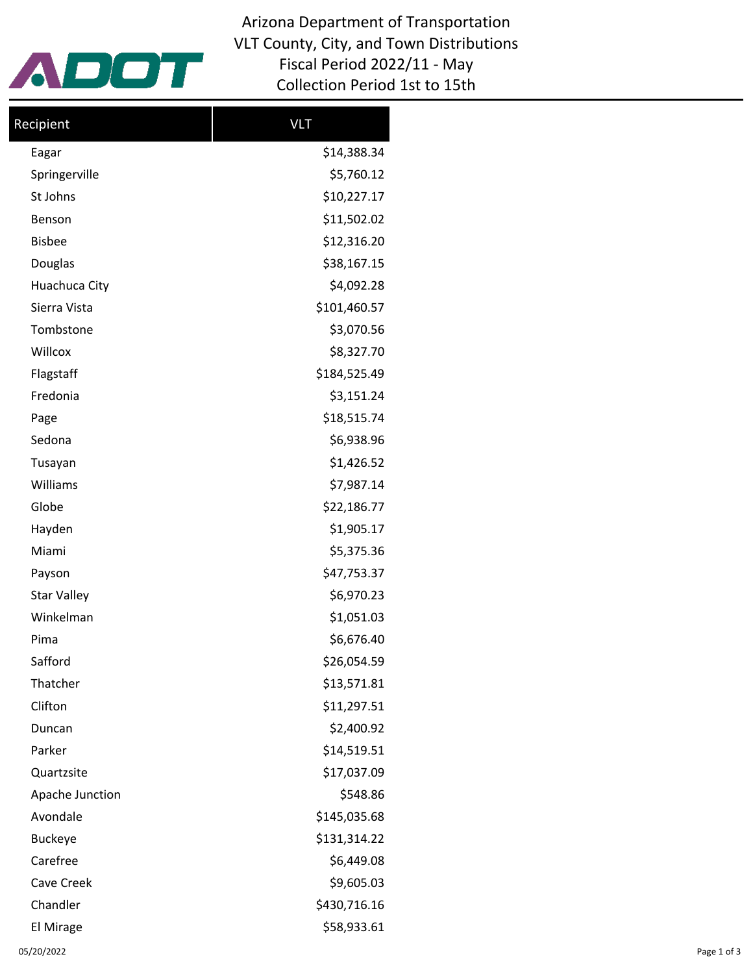

Arizona Department of Transportation VLT County, City, and Town Distributions Fiscal Period 2022/11 - May Collection Period 1st to 15th

| Recipient          | <b>VLT</b>   |  |  |
|--------------------|--------------|--|--|
| Eagar              | \$14,388.34  |  |  |
| Springerville      | \$5,760.12   |  |  |
| St Johns           | \$10,227.17  |  |  |
| Benson             | \$11,502.02  |  |  |
| <b>Bisbee</b>      | \$12,316.20  |  |  |
| Douglas            | \$38,167.15  |  |  |
| Huachuca City      | \$4,092.28   |  |  |
| Sierra Vista       | \$101,460.57 |  |  |
| Tombstone          | \$3,070.56   |  |  |
| Willcox            | \$8,327.70   |  |  |
| Flagstaff          | \$184,525.49 |  |  |
| Fredonia           | \$3,151.24   |  |  |
| Page               | \$18,515.74  |  |  |
| Sedona             | \$6,938.96   |  |  |
| Tusayan            | \$1,426.52   |  |  |
| Williams           | \$7,987.14   |  |  |
| Globe              | \$22,186.77  |  |  |
| Hayden             | \$1,905.17   |  |  |
| Miami              | \$5,375.36   |  |  |
| Payson             | \$47,753.37  |  |  |
| <b>Star Valley</b> | \$6,970.23   |  |  |
| Winkelman          | \$1,051.03   |  |  |
| Pima               | \$6,676.40   |  |  |
| Safford            | \$26,054.59  |  |  |
| Thatcher           | \$13,571.81  |  |  |
| Clifton            | \$11,297.51  |  |  |
| Duncan             | \$2,400.92   |  |  |
| Parker             | \$14,519.51  |  |  |
| Quartzsite         | \$17,037.09  |  |  |
| Apache Junction    | \$548.86     |  |  |
| Avondale           | \$145,035.68 |  |  |
| <b>Buckeye</b>     | \$131,314.22 |  |  |
| Carefree           | \$6,449.08   |  |  |
| Cave Creek         | \$9,605.03   |  |  |
| Chandler           | \$430,716.16 |  |  |
| El Mirage          | \$58,933.61  |  |  |
|                    |              |  |  |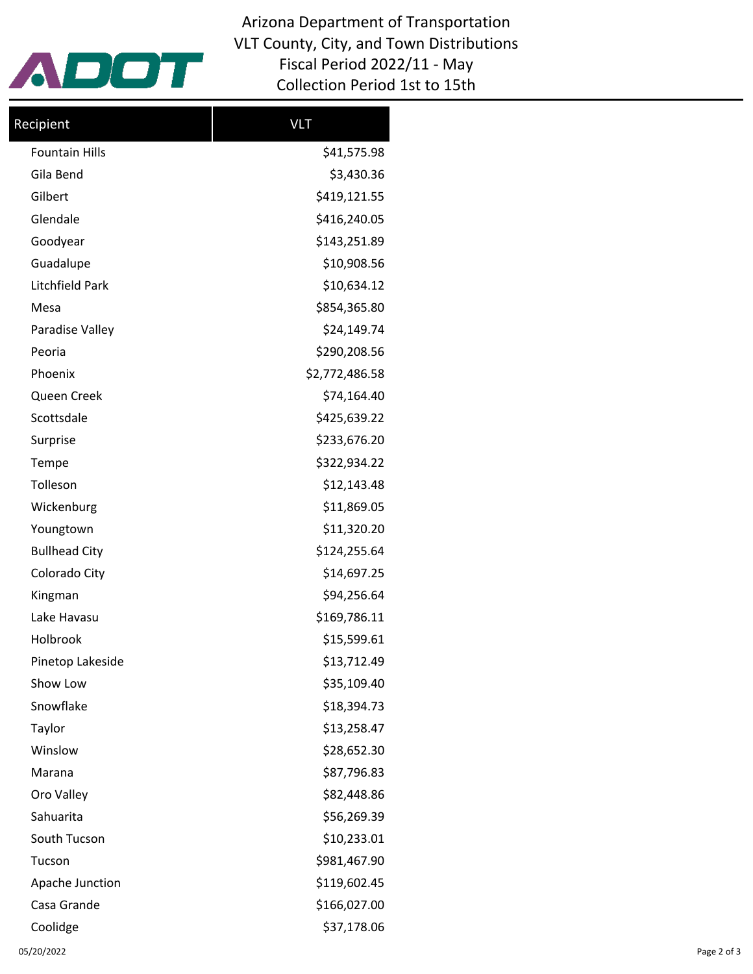

Arizona Department of Transportation VLT County, City, and Town Distributions Fiscal Period 2022/11 - May Collection Period 1st to 15th

| Recipient             | <b>VLT</b>     |  |  |
|-----------------------|----------------|--|--|
| <b>Fountain Hills</b> | \$41,575.98    |  |  |
| Gila Bend             | \$3,430.36     |  |  |
| Gilbert               | \$419,121.55   |  |  |
| Glendale              | \$416,240.05   |  |  |
| Goodyear              | \$143,251.89   |  |  |
| Guadalupe             | \$10,908.56    |  |  |
| Litchfield Park       | \$10,634.12    |  |  |
| Mesa                  | \$854,365.80   |  |  |
| Paradise Valley       | \$24,149.74    |  |  |
| Peoria                | \$290,208.56   |  |  |
| Phoenix               | \$2,772,486.58 |  |  |
| Queen Creek           | \$74,164.40    |  |  |
| Scottsdale            | \$425,639.22   |  |  |
| Surprise              | \$233,676.20   |  |  |
| Tempe                 | \$322,934.22   |  |  |
| Tolleson              | \$12,143.48    |  |  |
| Wickenburg            | \$11,869.05    |  |  |
| Youngtown             | \$11,320.20    |  |  |
| <b>Bullhead City</b>  | \$124,255.64   |  |  |
| Colorado City         | \$14,697.25    |  |  |
| Kingman               | \$94,256.64    |  |  |
| Lake Havasu           | \$169,786.11   |  |  |
| Holbrook              | \$15,599.61    |  |  |
| Pinetop Lakeside      | \$13,712.49    |  |  |
| Show Low              | \$35,109.40    |  |  |
| Snowflake             | \$18,394.73    |  |  |
| Taylor                | \$13,258.47    |  |  |
| Winslow               | \$28,652.30    |  |  |
| Marana                | \$87,796.83    |  |  |
| Oro Valley            | \$82,448.86    |  |  |
| Sahuarita             | \$56,269.39    |  |  |
| South Tucson          | \$10,233.01    |  |  |
| Tucson                | \$981,467.90   |  |  |
| Apache Junction       | \$119,602.45   |  |  |
| Casa Grande           | \$166,027.00   |  |  |
| Coolidge              | \$37,178.06    |  |  |
|                       |                |  |  |